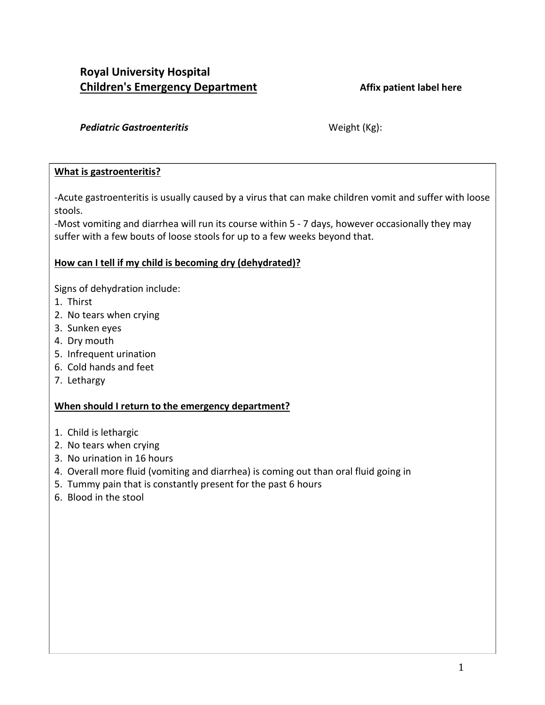# **Royal University Hospital Children's Emergency Department Affix patient label here**

#### Pediatric Gastroenteritis Weight (Kg):

### **What is gastroenteritis?**

-Acute gastroenteritis is usually caused by a virus that can make children vomit and suffer with loose stools.

-Most vomiting and diarrhea will run its course within 5 - 7 days, however occasionally they may suffer with a few bouts of loose stools for up to a few weeks beyond that.

## **How can I tell if my child is becoming dry (dehydrated)?**

Signs of dehydration include:

- 1. Thirst
- 2. No tears when crying
- 3. Sunken eyes
- 4. Dry mouth
- 5. Infrequent urination
- 6. Cold hands and feet
- 7. Lethargy

## **When should I return to the emergency department?**

- 1. Child is lethargic
- 2. No tears when crying
- 3. No urination in 16 hours
- 4. Overall more fluid (vomiting and diarrhea) is coming out than oral fluid going in
- 5. Tummy pain that is constantly present for the past 6 hours
- 6. Blood in the stool